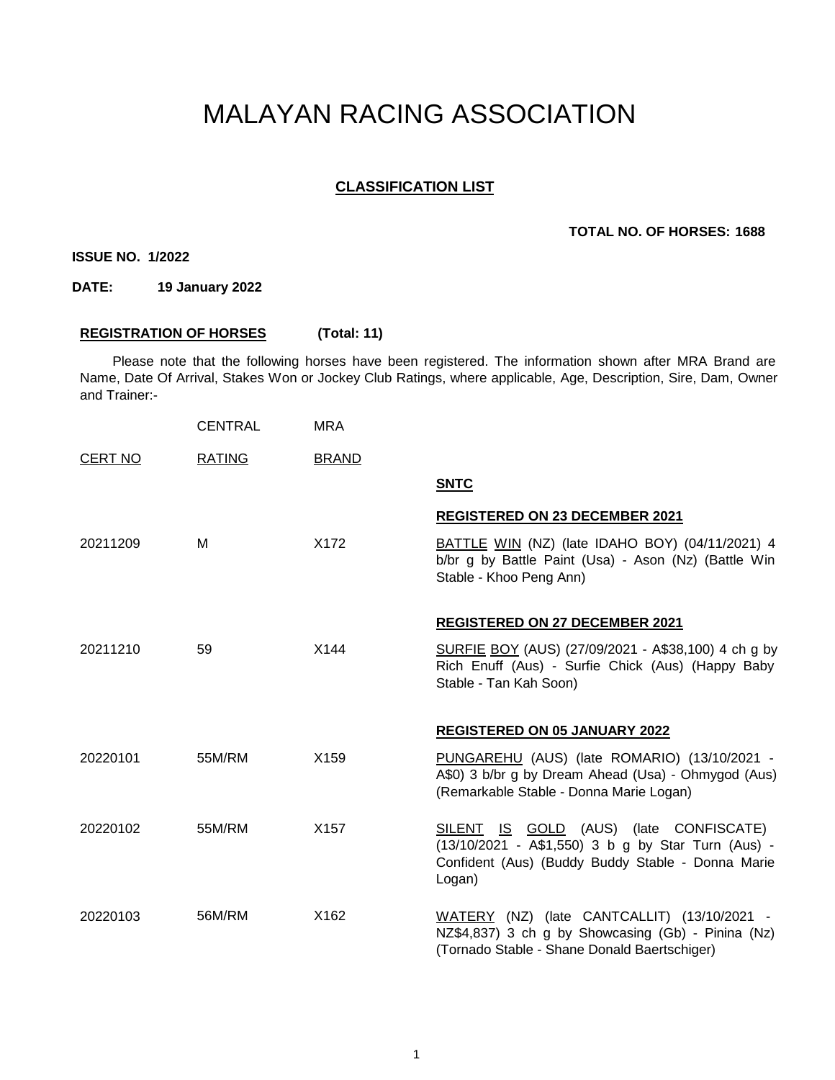# MALAYAN RACING ASSOCIATION

# **CLASSIFICATION LIST**

**TOTAL NO. OF HORSES: 1688**

**ISSUE NO. 1/2022**

**DATE: 19 January 2022**

# **REGISTRATION OF HORSES (Total: 11)**

Please note that the following horses have been registered. The information shown after MRA Brand are Name, Date Of Arrival, Stakes Won or Jockey Club Ratings, where applicable, Age, Description, Sire, Dam, Owner and Trainer:-

|                | <b>CENTRAL</b> | <b>MRA</b>   |                                                                                                                                                             |
|----------------|----------------|--------------|-------------------------------------------------------------------------------------------------------------------------------------------------------------|
| <b>CERT NO</b> | <b>RATING</b>  | <b>BRAND</b> |                                                                                                                                                             |
|                |                |              | <b>SNTC</b>                                                                                                                                                 |
|                |                |              | <b>REGISTERED ON 23 DECEMBER 2021</b>                                                                                                                       |
| 20211209       | М              | X172         | BATTLE WIN (NZ) (late IDAHO BOY) (04/11/2021) 4<br>b/br g by Battle Paint (Usa) - Ason (Nz) (Battle Win<br>Stable - Khoo Peng Ann)                          |
|                |                |              | <b>REGISTERED ON 27 DECEMBER 2021</b>                                                                                                                       |
| 20211210       | 59             | X144         | SURFIE BOY (AUS) (27/09/2021 - A\$38,100) 4 ch g by<br>Rich Enuff (Aus) - Surfie Chick (Aus) (Happy Baby<br>Stable - Tan Kah Soon)                          |
|                |                |              | <b>REGISTERED ON 05 JANUARY 2022</b>                                                                                                                        |
| 20220101       | 55M/RM         | X159         | PUNGAREHU (AUS) (late ROMARIO) (13/10/2021 -<br>A\$0) 3 b/br g by Dream Ahead (Usa) - Ohmygod (Aus)<br>(Remarkable Stable - Donna Marie Logan)              |
| 20220102       | 55M/RM         | X157         | SILENT IS GOLD (AUS) (late CONFISCATE)<br>(13/10/2021 - A\$1,550) 3 b g by Star Turn (Aus) -<br>Confident (Aus) (Buddy Buddy Stable - Donna Marie<br>Logan) |
| 20220103       | 56M/RM         | X162         | WATERY (NZ) (late CANTCALLIT) (13/10/2021 -<br>NZ\$4,837) 3 ch g by Showcasing (Gb) - Pinina (Nz)<br>(Tornado Stable - Shane Donald Baertschiger)           |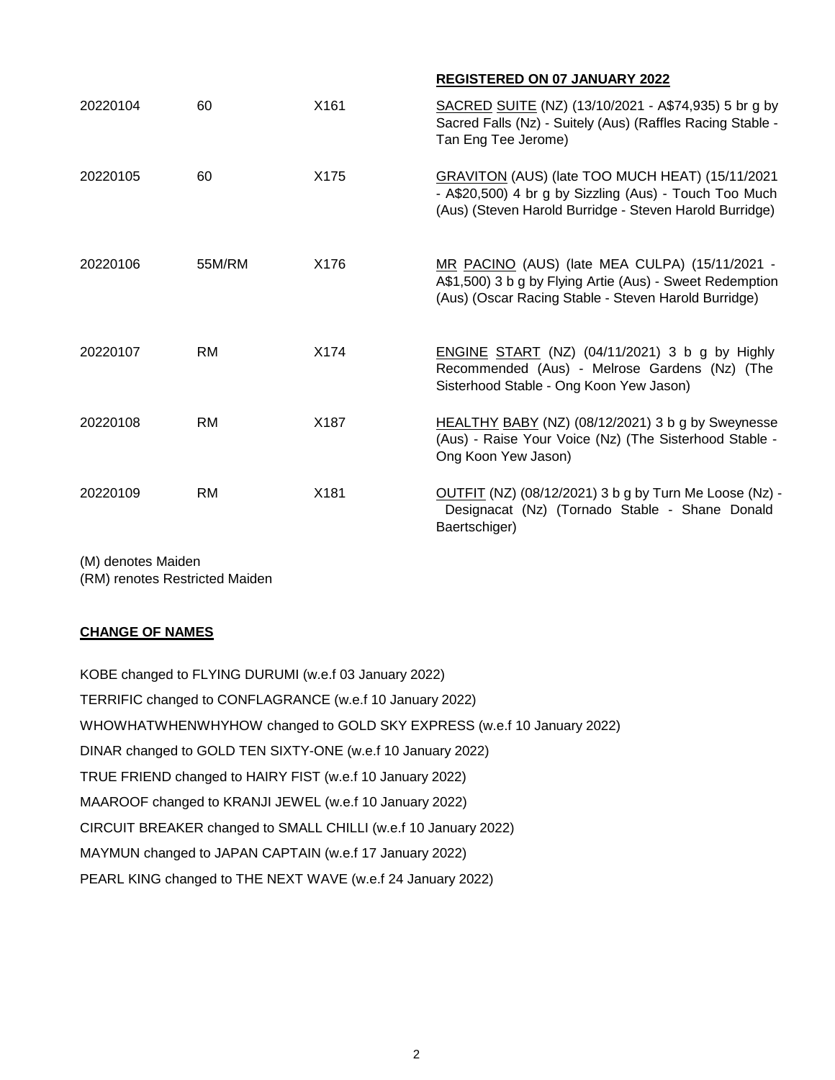|          |           |      | <b>REGISTERED ON 07 JANUARY 2022</b>                                                                                                                                 |
|----------|-----------|------|----------------------------------------------------------------------------------------------------------------------------------------------------------------------|
| 20220104 | 60        | X161 | SACRED SUITE (NZ) (13/10/2021 - A\$74,935) 5 br g by<br>Sacred Falls (Nz) - Suitely (Aus) (Raffles Racing Stable -<br>Tan Eng Tee Jerome)                            |
| 20220105 | 60        | X175 | GRAVITON (AUS) (late TOO MUCH HEAT) (15/11/2021<br>- A\$20,500) 4 br g by Sizzling (Aus) - Touch Too Much<br>(Aus) (Steven Harold Burridge - Steven Harold Burridge) |
| 20220106 | 55M/RM    | X176 | MR PACINO (AUS) (late MEA CULPA) (15/11/2021 -<br>A\$1,500) 3 b g by Flying Artie (Aus) - Sweet Redemption<br>(Aus) (Oscar Racing Stable - Steven Harold Burridge)   |
| 20220107 | <b>RM</b> | X174 | <b>ENGINE START</b> (NZ) (04/11/2021) 3 b g by Highly<br>Recommended (Aus) - Melrose Gardens (Nz) (The<br>Sisterhood Stable - Ong Koon Yew Jason)                    |
| 20220108 | <b>RM</b> | X187 | HEALTHY BABY (NZ) (08/12/2021) 3 b g by Sweynesse<br>(Aus) - Raise Your Voice (Nz) (The Sisterhood Stable -<br>Ong Koon Yew Jason)                                   |
| 20220109 | <b>RM</b> | X181 | OUTFIT (NZ) (08/12/2021) 3 b g by Turn Me Loose (Nz) -<br>Designacat (Nz) (Tornado Stable - Shane Donald<br>Baertschiger)                                            |

(M) denotes Maiden

(RM) renotes Restricted Maiden

## **CHANGE OF NAMES**

PEARL KING changed to THE NEXT WAVE (w.e.f 24 January 2022) WHOWHATWHENWHYHOW changed to GOLD SKY EXPRESS (w.e.f 10 January 2022) KOBE changed to FLYING DURUMI (w.e.f 03 January 2022) TRUE FRIEND changed to HAIRY FIST (w.e.f 10 January 2022) MAAROOF changed to KRANJI JEWEL (w.e.f 10 January 2022) CIRCUIT BREAKER changed to SMALL CHILLI (w.e.f 10 January 2022) MAYMUN changed to JAPAN CAPTAIN (w.e.f 17 January 2022) TERRIFIC changed to CONFLAGRANCE (w.e.f 10 January 2022) DINAR changed to GOLD TEN SIXTY-ONE (w.e.f 10 January 2022)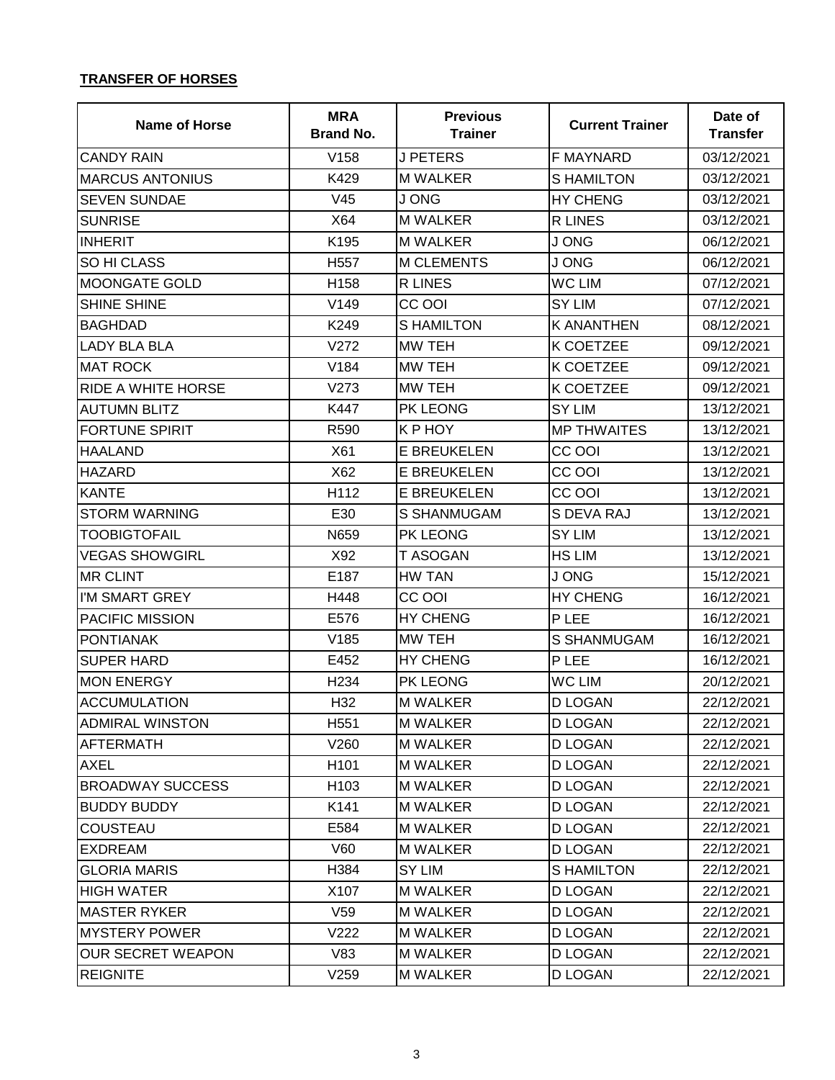# **TRANSFER OF HORSES**

| <b>Name of Horse</b>      | <b>MRA</b><br><b>Brand No.</b> | <b>Previous</b><br><b>Trainer</b> | <b>Current Trainer</b> | Date of<br><b>Transfer</b> |
|---------------------------|--------------------------------|-----------------------------------|------------------------|----------------------------|
| <b>CANDY RAIN</b>         | V158                           | <b>J PETERS</b>                   | <b>F MAYNARD</b>       | 03/12/2021                 |
| <b>MARCUS ANTONIUS</b>    | K429                           | <b>M WALKER</b>                   | <b>SHAMILTON</b>       | 03/12/2021                 |
| <b>SEVEN SUNDAE</b>       | V45                            | J ONG                             | <b>HY CHENG</b>        | 03/12/2021                 |
| <b>SUNRISE</b>            | X64                            | <b>M WALKER</b>                   | <b>R LINES</b>         | 03/12/2021                 |
| <b>INHERIT</b>            | K195                           | <b>M WALKER</b>                   | J ONG                  | 06/12/2021                 |
| <b>SO HI CLASS</b>        | H <sub>557</sub>               | <b>M CLEMENTS</b>                 | J ONG                  | 06/12/2021                 |
| <b>MOONGATE GOLD</b>      | H <sub>158</sub>               | <b>R LINES</b>                    | <b>WC LIM</b>          | 07/12/2021                 |
| <b>SHINE SHINE</b>        | V149                           | CC OOI                            | <b>SY LIM</b>          | 07/12/2021                 |
| <b>BAGHDAD</b>            | K249                           | <b>SHAMILTON</b>                  | <b>K ANANTHEN</b>      | 08/12/2021                 |
| <b>LADY BLA BLA</b>       | V272                           | MW TEH                            | K COETZEE              | 09/12/2021                 |
| <b>MAT ROCK</b>           | V <sub>184</sub>               | MW TEH                            | K COETZEE              | 09/12/2021                 |
| <b>RIDE A WHITE HORSE</b> | V273                           | MW TEH                            | K COETZEE              | 09/12/2021                 |
| <b>AUTUMN BLITZ</b>       | K447                           | PK LEONG                          | <b>SY LIM</b>          | 13/12/2021                 |
| <b>FORTUNE SPIRIT</b>     | R590                           | K P HOY                           | <b>MP THWAITES</b>     | 13/12/2021                 |
| <b>HAALAND</b>            | X61                            | <b>E BREUKELEN</b>                | CC OOI                 | 13/12/2021                 |
| <b>HAZARD</b>             | X62                            | <b>E BREUKELEN</b>                | CC OOI                 | 13/12/2021                 |
| <b>KANTE</b>              | H112                           | <b>E BREUKELEN</b>                | CC OOI                 | 13/12/2021                 |
| <b>STORM WARNING</b>      | E30                            | S SHANMUGAM                       | S DEVA RAJ             | 13/12/2021                 |
| <b>TOOBIGTOFAIL</b>       | N659                           | PK LEONG                          | <b>SY LIM</b>          | 13/12/2021                 |
| <b>VEGAS SHOWGIRL</b>     | X92                            | T ASOGAN                          | <b>HS LIM</b>          | 13/12/2021                 |
| <b>MR CLINT</b>           | E187                           | <b>HW TAN</b>                     | J ONG                  | 15/12/2021                 |
| I'M SMART GREY            | H448                           | CC OOI                            | <b>HY CHENG</b>        | 16/12/2021                 |
| <b>PACIFIC MISSION</b>    | E576                           | <b>HY CHENG</b>                   | <b>PLEE</b>            | 16/12/2021                 |
| <b>PONTIANAK</b>          | V185                           | MW TEH                            | <b>S SHANMUGAM</b>     | 16/12/2021                 |
| <b>SUPER HARD</b>         | E452                           | <b>HY CHENG</b>                   | P LEE                  | 16/12/2021                 |
| <b>MON ENERGY</b>         | H <sub>234</sub>               | PK LEONG                          | <b>WC LIM</b>          | 20/12/2021                 |
| <b>ACCUMULATION</b>       | H <sub>32</sub>                | <b>M WALKER</b>                   | <b>D LOGAN</b>         | 22/12/2021                 |
| <b>ADMIRAL WINSTON</b>    | H551                           | <b>M WALKER</b>                   | <b>D LOGAN</b>         | 22/12/2021                 |
| AFTERMATH                 | V260                           | <b>M WALKER</b>                   | D LOGAN                | 22/12/2021                 |
| <b>AXEL</b>               | H <sub>101</sub>               | <b>M WALKER</b>                   | D LOGAN                | 22/12/2021                 |
| <b>BROADWAY SUCCESS</b>   | H103                           | <b>M WALKER</b>                   | D LOGAN                | 22/12/2021                 |
| <b>BUDDY BUDDY</b>        | K141                           | <b>M WALKER</b>                   | D LOGAN                | 22/12/2021                 |
| <b>COUSTEAU</b>           | E584                           | <b>M WALKER</b>                   | D LOGAN                | 22/12/2021                 |
| <b>EXDREAM</b>            | V60                            | <b>M WALKER</b>                   | D LOGAN                | 22/12/2021                 |
| <b>GLORIA MARIS</b>       | H384                           | <b>SYLIM</b>                      | <b>SHAMILTON</b>       | 22/12/2021                 |
| <b>HIGH WATER</b>         | X107                           | <b>M WALKER</b>                   | D LOGAN                | 22/12/2021                 |
| <b>MASTER RYKER</b>       | V <sub>59</sub>                | <b>M WALKER</b>                   | D LOGAN                | 22/12/2021                 |
| <b>MYSTERY POWER</b>      | V <sub>222</sub>               | <b>M WALKER</b>                   | D LOGAN                | 22/12/2021                 |
| <b>OUR SECRET WEAPON</b>  | V83                            | <b>M WALKER</b>                   | D LOGAN                | 22/12/2021                 |
| <b>REIGNITE</b>           | V259                           | <b>M WALKER</b>                   | D LOGAN                | 22/12/2021                 |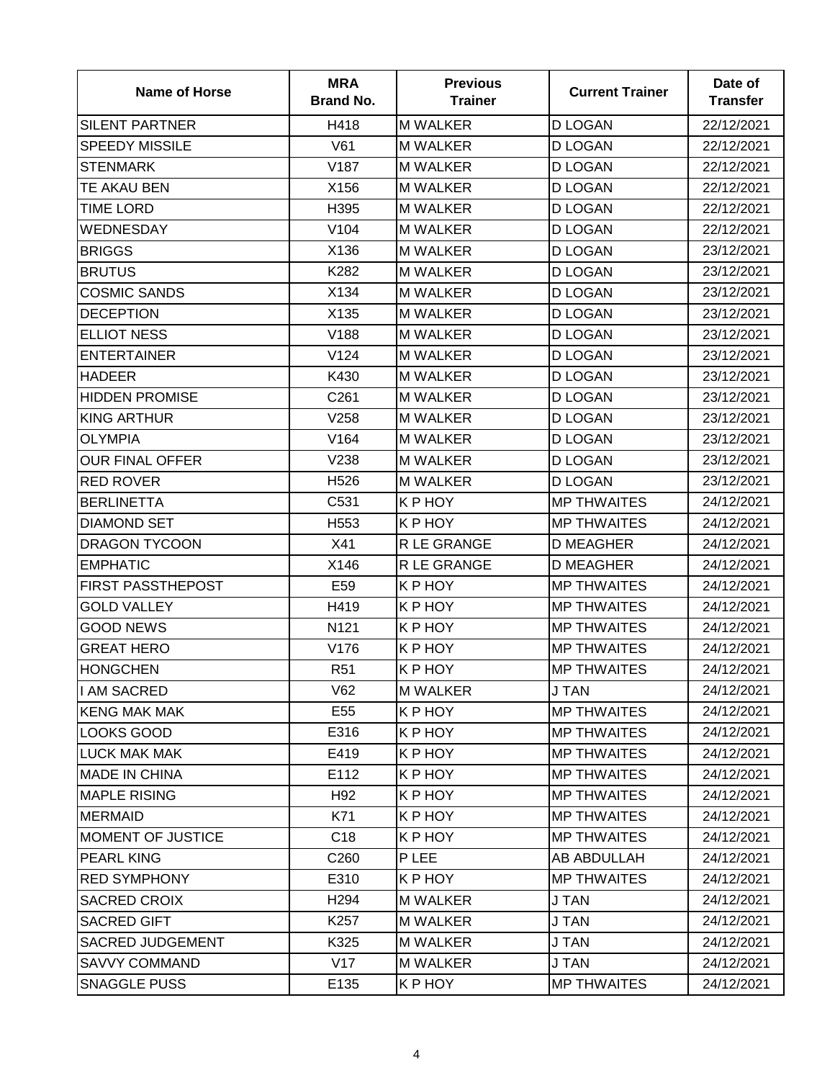| <b>Name of Horse</b>     | <b>MRA</b><br><b>Brand No.</b> | <b>Previous</b><br><b>Trainer</b> | <b>Current Trainer</b> | Date of<br><b>Transfer</b> |
|--------------------------|--------------------------------|-----------------------------------|------------------------|----------------------------|
| <b>SILENT PARTNER</b>    | H418                           | <b>M WALKER</b>                   | <b>D LOGAN</b>         | 22/12/2021                 |
| <b>SPEEDY MISSILE</b>    | V61                            | <b>M WALKER</b>                   | <b>D LOGAN</b>         | 22/12/2021                 |
| <b>STENMARK</b>          | V <sub>187</sub>               | <b>M WALKER</b>                   | D LOGAN                | 22/12/2021                 |
| TE AKAU BEN              | X156                           | <b>M WALKER</b>                   | <b>D LOGAN</b>         | 22/12/2021                 |
| <b>TIME LORD</b>         | H395                           | <b>M WALKER</b>                   | D LOGAN                | 22/12/2021                 |
| WEDNESDAY                | V104                           | <b>M WALKER</b>                   | <b>D LOGAN</b>         | 22/12/2021                 |
| <b>BRIGGS</b>            | X136                           | <b>M WALKER</b>                   | D LOGAN                | 23/12/2021                 |
| <b>BRUTUS</b>            | K282                           | <b>M WALKER</b>                   | D LOGAN                | 23/12/2021                 |
| <b>COSMIC SANDS</b>      | X134                           | <b>M WALKER</b>                   | <b>D LOGAN</b>         | 23/12/2021                 |
| <b>DECEPTION</b>         | X135                           | <b>M WALKER</b>                   | D LOGAN                | 23/12/2021                 |
| <b>ELLIOT NESS</b>       | V188                           | <b>M WALKER</b>                   | D LOGAN                | 23/12/2021                 |
| <b>ENTERTAINER</b>       | V124                           | <b>M WALKER</b>                   | <b>D LOGAN</b>         | 23/12/2021                 |
| <b>HADEER</b>            | K430                           | <b>M WALKER</b>                   | <b>D LOGAN</b>         | 23/12/2021                 |
| <b>HIDDEN PROMISE</b>    | C <sub>261</sub>               | <b>M WALKER</b>                   | <b>D LOGAN</b>         | 23/12/2021                 |
| <b>KING ARTHUR</b>       | V258                           | <b>M WALKER</b>                   | <b>D LOGAN</b>         | 23/12/2021                 |
| <b>OLYMPIA</b>           | V164                           | <b>M WALKER</b>                   | D LOGAN                | 23/12/2021                 |
| <b>OUR FINAL OFFER</b>   | V238                           | <b>M WALKER</b>                   | <b>D LOGAN</b>         | 23/12/2021                 |
| <b>RED ROVER</b>         | H <sub>526</sub>               | <b>M WALKER</b>                   | <b>D LOGAN</b>         | 23/12/2021                 |
| <b>BERLINETTA</b>        | C <sub>531</sub>               | K P HOY                           | <b>MP THWAITES</b>     | 24/12/2021                 |
| <b>DIAMOND SET</b>       | H <sub>553</sub>               | K P HOY                           | <b>MP THWAITES</b>     | 24/12/2021                 |
| <b>DRAGON TYCOON</b>     | X41                            | R LE GRANGE                       | <b>D MEAGHER</b>       | 24/12/2021                 |
| <b>EMPHATIC</b>          | X146                           | R LE GRANGE                       | <b>D MEAGHER</b>       | 24/12/2021                 |
| <b>FIRST PASSTHEPOST</b> | E59                            | K P HOY                           | <b>MP THWAITES</b>     | 24/12/2021                 |
| <b>GOLD VALLEY</b>       | H419                           | K P HOY                           | <b>MP THWAITES</b>     | 24/12/2021                 |
| <b>GOOD NEWS</b>         | N121                           | K P HOY                           | <b>MP THWAITES</b>     | 24/12/2021                 |
| <b>GREAT HERO</b>        | V176                           | K P HOY                           | <b>MP THWAITES</b>     | 24/12/2021                 |
| <b>HONGCHEN</b>          | R <sub>51</sub>                | K P HOY                           | <b>MP THWAITES</b>     | 24/12/2021                 |
| I AM SACRED              | V62                            | <b>M WALKER</b>                   | J TAN                  | 24/12/2021                 |
| <b>KENG MAK MAK</b>      | E55                            | K P HOY                           | <b>MP THWAITES</b>     | 24/12/2021                 |
| LOOKS GOOD               | E316                           | K P HOY                           | <b>MP THWAITES</b>     | 24/12/2021                 |
| <b>LUCK MAK MAK</b>      | E419                           | K P HOY                           | <b>MP THWAITES</b>     | 24/12/2021                 |
| <b>MADE IN CHINA</b>     | E112                           | K P HOY                           | <b>MP THWAITES</b>     | 24/12/2021                 |
| <b>MAPLE RISING</b>      | H92                            | K P HOY                           | <b>MP THWAITES</b>     | 24/12/2021                 |
| <b>MERMAID</b>           | K71                            | K P HOY                           | <b>MP THWAITES</b>     | 24/12/2021                 |
| MOMENT OF JUSTICE        | C <sub>18</sub>                | K P HOY                           | <b>MP THWAITES</b>     | 24/12/2021                 |
| <b>PEARL KING</b>        | C260                           | P LEE                             | AB ABDULLAH            | 24/12/2021                 |
| <b>RED SYMPHONY</b>      | E310                           | K P HOY                           | <b>MP THWAITES</b>     | 24/12/2021                 |
| <b>SACRED CROIX</b>      | H <sub>294</sub>               | <b>M WALKER</b>                   | J TAN                  | 24/12/2021                 |
| <b>SACRED GIFT</b>       | K257                           | <b>M WALKER</b>                   | J TAN                  | 24/12/2021                 |
| <b>SACRED JUDGEMENT</b>  | K325                           | <b>M WALKER</b>                   | J TAN                  | 24/12/2021                 |
| <b>SAVVY COMMAND</b>     | V17                            | <b>M WALKER</b>                   | J TAN                  | 24/12/2021                 |
| <b>SNAGGLE PUSS</b>      | E135                           | K P HOY                           | <b>MP THWAITES</b>     | 24/12/2021                 |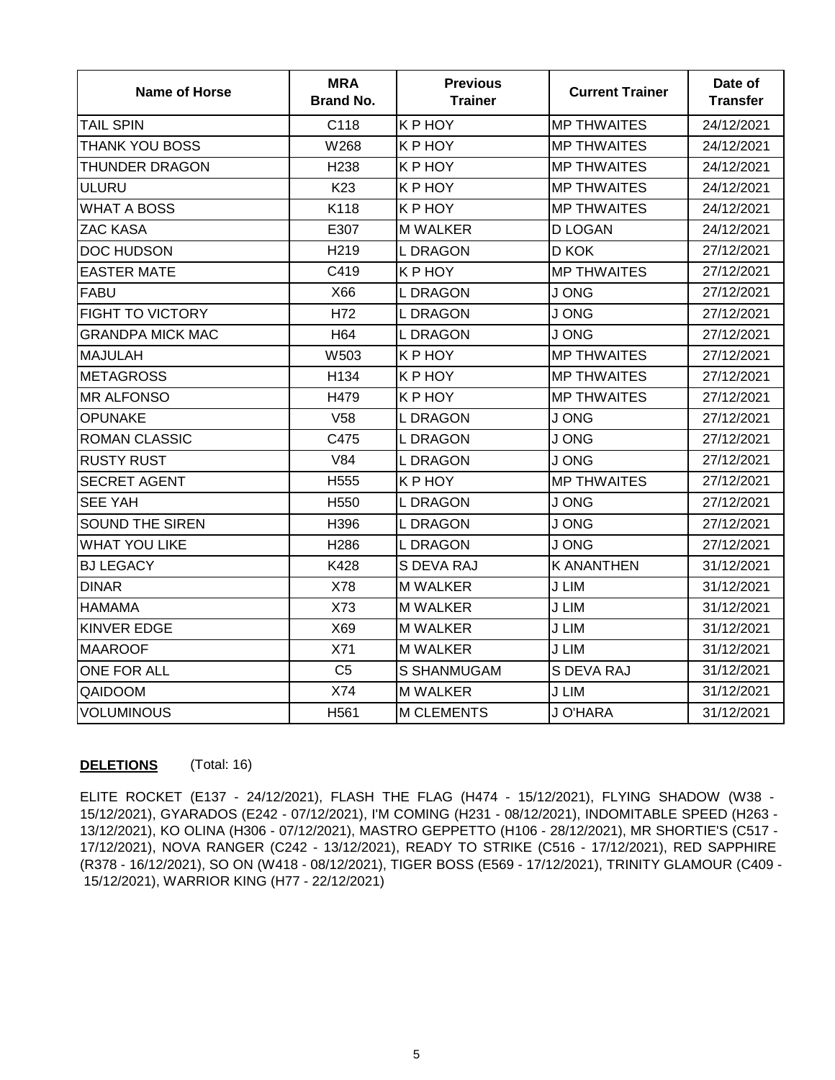| Name of Horse           | <b>MRA</b><br><b>Brand No.</b> | <b>Previous</b><br><b>Trainer</b> | <b>Current Trainer</b> | Date of<br><b>Transfer</b> |
|-------------------------|--------------------------------|-----------------------------------|------------------------|----------------------------|
| <b>TAIL SPIN</b>        | C118                           | <b>KPHOY</b>                      | <b>MP THWAITES</b>     | 24/12/2021                 |
| <b>THANK YOU BOSS</b>   | W268                           | K P HOY                           | <b>MP THWAITES</b>     | 24/12/2021                 |
| THUNDER DRAGON          | H238                           | K P HOY                           | <b>MP THWAITES</b>     | 24/12/2021                 |
| <b>ULURU</b>            | K <sub>23</sub>                | K P HOY                           | <b>MP THWAITES</b>     | 24/12/2021                 |
| <b>WHAT A BOSS</b>      | K118                           | K P HOY                           | <b>MP THWAITES</b>     | 24/12/2021                 |
| <b>ZAC KASA</b>         | E307                           | <b>M WALKER</b>                   | <b>D LOGAN</b>         | 24/12/2021                 |
| DOC HUDSON              | H <sub>219</sub>               | <b>L DRAGON</b>                   | D KOK                  | 27/12/2021                 |
| <b>EASTER MATE</b>      | C419                           | K P HOY                           | <b>MP THWAITES</b>     | 27/12/2021                 |
| FABU                    | X66                            | <b>L DRAGON</b>                   | <b>JONG</b>            | 27/12/2021                 |
| <b>FIGHT TO VICTORY</b> | H72                            | <b>L DRAGON</b>                   | J ONG                  | 27/12/2021                 |
| <b>GRANDPA MICK MAC</b> | H64                            | <b>L DRAGON</b>                   | J ONG                  | 27/12/2021                 |
| <b>MAJULAH</b>          | W503                           | K P HOY                           | <b>MP THWAITES</b>     | 27/12/2021                 |
| <b>METAGROSS</b>        | H <sub>134</sub>               | K P HOY                           | <b>MP THWAITES</b>     | 27/12/2021                 |
| <b>MR ALFONSO</b>       | H479                           | K P HOY                           | <b>MP THWAITES</b>     | 27/12/2021                 |
| <b>OPUNAKE</b>          | V <sub>58</sub>                | <b>L DRAGON</b>                   | J ONG                  | 27/12/2021                 |
| <b>ROMAN CLASSIC</b>    | C475                           | L DRAGON                          | J ONG                  | 27/12/2021                 |
| <b>RUSTY RUST</b>       | V84                            | <b>L DRAGON</b>                   | J ONG                  | 27/12/2021                 |
| <b>SECRET AGENT</b>     | H <sub>555</sub>               | K P HOY                           | <b>MP THWAITES</b>     | 27/12/2021                 |
| <b>SEE YAH</b>          | H <sub>550</sub>               | <b>L DRAGON</b>                   | J ONG                  | 27/12/2021                 |
| <b>SOUND THE SIREN</b>  | H396                           | <b>L DRAGON</b>                   | J ONG                  | 27/12/2021                 |
| <b>WHAT YOU LIKE</b>    | H <sub>286</sub>               | <b>L DRAGON</b>                   | J ONG                  | 27/12/2021                 |
| <b>BJ LEGACY</b>        | K428                           | S DEVA RAJ                        | <b>K ANANTHEN</b>      | 31/12/2021                 |
| <b>DINAR</b>            | X78                            | <b>M WALKER</b>                   | J LIM                  | 31/12/2021                 |
| <b>HAMAMA</b>           | X73                            | <b>M WALKER</b>                   | J LIM                  | 31/12/2021                 |
| <b>KINVER EDGE</b>      | X69                            | <b>M WALKER</b>                   | J LIM                  | 31/12/2021                 |
| <b>MAAROOF</b>          | X71                            | <b>M WALKER</b>                   | J LIM                  | 31/12/2021                 |
| <b>ONE FOR ALL</b>      | C <sub>5</sub>                 | <b>S SHANMUGAM</b>                | S DEVA RAJ             | 31/12/2021                 |
| QAIDOOM                 | X74                            | <b>M WALKER</b>                   | J LIM                  | 31/12/2021                 |
| <b>VOLUMINOUS</b>       | H561                           | <b>M CLEMENTS</b>                 | J O'HARA               | 31/12/2021                 |

# **DELETIONS** (Total: 16)

ELITE ROCKET (E137 - 24/12/2021), FLASH THE FLAG (H474 - 15/12/2021), FLYING SHADOW (W38 - 15/12/2021), GYARADOS (E242 - 07/12/2021), I'M COMING (H231 - 08/12/2021), INDOMITABLE SPEED (H263 - 13/12/2021), KO OLINA (H306 - 07/12/2021), MASTRO GEPPETTO (H106 - 28/12/2021), MR SHORTIE'S (C517 - 17/12/2021), NOVA RANGER (C242 - 13/12/2021), READY TO STRIKE (C516 - 17/12/2021), RED SAPPHIRE (R378 - 16/12/2021), SO ON (W418 - 08/12/2021), TIGER BOSS (E569 - 17/12/2021), TRINITY GLAMOUR (C409 - 15/12/2021), WARRIOR KING (H77 - 22/12/2021)